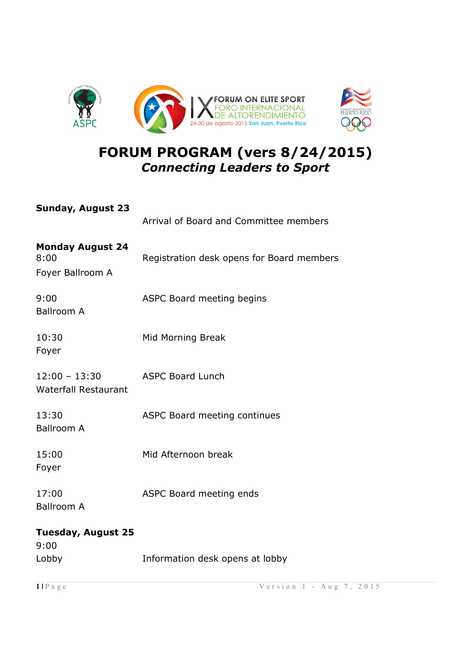

## **FORUM PROGRAM (vers 8/24/2015)** *Connecting Leaders to Sport*

| Sunday, August 23                                   | Arrival of Board and Committee members    |
|-----------------------------------------------------|-------------------------------------------|
| <b>Monday August 24</b><br>8:00<br>Foyer Ballroom A | Registration desk opens for Board members |
| 9:00<br><b>Ballroom A</b>                           | ASPC Board meeting begins                 |
| 10:30<br>Foyer                                      | Mid Morning Break                         |
| 12:00 - 13:30<br><b>Waterfall Restaurant</b>        | <b>ASPC Board Lunch</b>                   |
| 13:30<br><b>Ballroom A</b>                          | ASPC Board meeting continues              |
| 15:00<br>Foyer                                      | Mid Afternoon break                       |
| 17:00<br><b>Ballroom A</b>                          | ASPC Board meeting ends                   |
| Tuesday, August 25<br>9:00                          |                                           |
| Lobby                                               | Information desk opens at lobby           |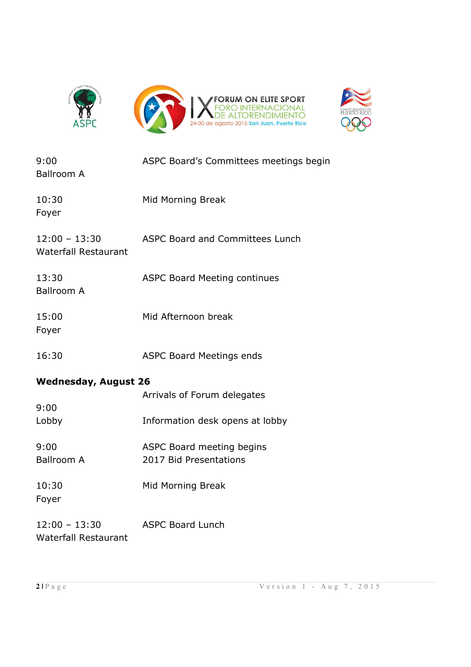



| 9:00<br><b>Ballroom A</b>                                          | ASPC Board's Committees meetings begin              |
|--------------------------------------------------------------------|-----------------------------------------------------|
| 10:30<br>Foyer                                                     | Mid Morning Break                                   |
| $12:00 - 13:30$<br><b>Waterfall Restaurant</b>                     | <b>ASPC Board and Committees Lunch</b>              |
| 13:30<br><b>Ballroom A</b>                                         | <b>ASPC Board Meeting continues</b>                 |
| 15:00<br>Foyer                                                     | Mid Afternoon break                                 |
| 16:30                                                              | <b>ASPC Board Meetings ends</b>                     |
| <b>Wednesday, August 26</b><br>Arrivals of Forum delegates<br>9:00 |                                                     |
| Lobby                                                              | Information desk opens at lobby                     |
| 9:00<br><b>Ballroom A</b>                                          | ASPC Board meeting begins<br>2017 Bid Presentations |
| 10:30<br>Foyer                                                     | Mid Morning Break                                   |
| $12:00 - 13:30$                                                    | <b>ASPC Board Lunch</b>                             |

Waterfall Restaurant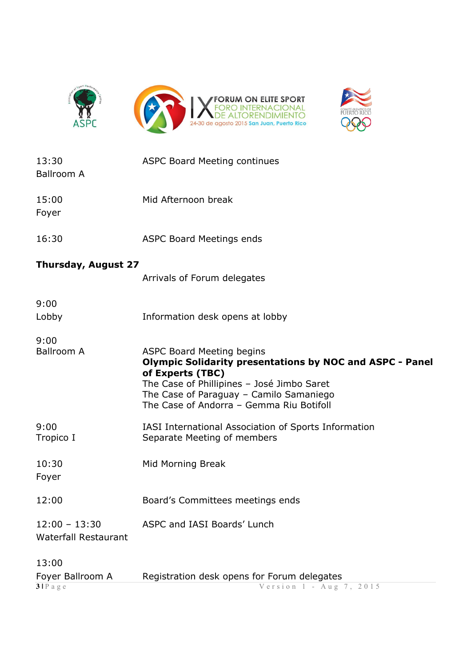



| 13:30<br><b>Ballroom A</b>                     | <b>ASPC Board Meeting continues</b>                                                                                                                                                                                                                          |
|------------------------------------------------|--------------------------------------------------------------------------------------------------------------------------------------------------------------------------------------------------------------------------------------------------------------|
| 15:00<br>Foyer                                 | Mid Afternoon break                                                                                                                                                                                                                                          |
| 16:30                                          | <b>ASPC Board Meetings ends</b>                                                                                                                                                                                                                              |
| <b>Thursday, August 27</b>                     |                                                                                                                                                                                                                                                              |
|                                                | Arrivals of Forum delegates                                                                                                                                                                                                                                  |
| 9:00                                           |                                                                                                                                                                                                                                                              |
| Lobby                                          | Information desk opens at lobby                                                                                                                                                                                                                              |
| 9:00<br><b>Ballroom A</b>                      | <b>ASPC Board Meeting begins</b><br><b>Olympic Solidarity presentations by NOC and ASPC - Panel</b><br>of Experts (TBC)<br>The Case of Phillipines - José Jimbo Saret<br>The Case of Paraguay - Camilo Samaniego<br>The Case of Andorra - Gemma Riu Botifoll |
| 9:00<br>Tropico I                              | IASI International Association of Sports Information<br>Separate Meeting of members                                                                                                                                                                          |
| 10:30<br>Foyer                                 | Mid Morning Break                                                                                                                                                                                                                                            |
| 12:00                                          | Board's Committees meetings ends                                                                                                                                                                                                                             |
| $12:00 - 13:30$<br><b>Waterfall Restaurant</b> | ASPC and IASI Boards' Lunch                                                                                                                                                                                                                                  |
| 13:00                                          |                                                                                                                                                                                                                                                              |
| Foyer Ballroom A<br>3IPage                     | Registration desk opens for Forum delegates<br>Version 1 - Aug 7, 2015                                                                                                                                                                                       |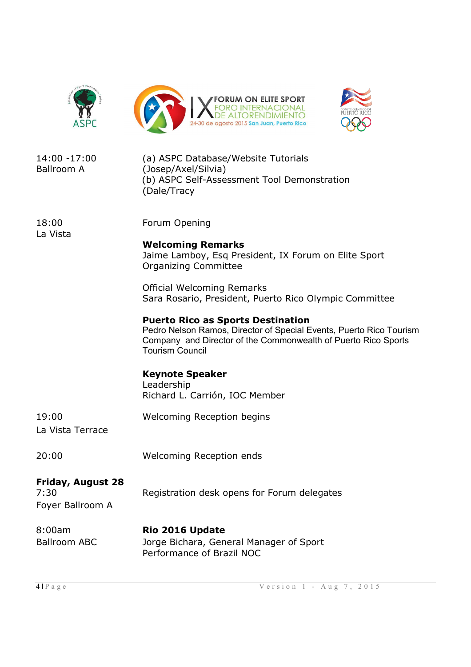





| 14:00 -17:00<br><b>Ballroom A</b>             | (a) ASPC Database/Website Tutorials<br>(Josep/Axel/Silvia)<br>(b) ASPC Self-Assessment Tool Demonstration<br>(Dale/Tracy                                                                                    |
|-----------------------------------------------|-------------------------------------------------------------------------------------------------------------------------------------------------------------------------------------------------------------|
| 18:00<br>La Vista                             | Forum Opening<br><b>Welcoming Remarks</b><br>Jaime Lamboy, Esq President, IX Forum on Elite Sport<br><b>Organizing Committee</b>                                                                            |
|                                               | <b>Official Welcoming Remarks</b><br>Sara Rosario, President, Puerto Rico Olympic Committee                                                                                                                 |
|                                               | <b>Puerto Rico as Sports Destination</b><br>Pedro Nelson Ramos, Director of Special Events, Puerto Rico Tourism<br>Company and Director of the Commonwealth of Puerto Rico Sports<br><b>Tourism Council</b> |
|                                               | <b>Keynote Speaker</b><br>Leadership<br>Richard L. Carrión, IOC Member                                                                                                                                      |
| 19:00<br>La Vista Terrace                     | <b>Welcoming Reception begins</b>                                                                                                                                                                           |
| 20:00                                         | <b>Welcoming Reception ends</b>                                                                                                                                                                             |
| Friday, August 28<br>7:30<br>Foyer Ballroom A | Registration desk opens for Forum delegates                                                                                                                                                                 |
| 8:00am<br><b>Ballroom ABC</b>                 | Rio 2016 Update<br>Jorge Bichara, General Manager of Sport<br>Performance of Brazil NOC                                                                                                                     |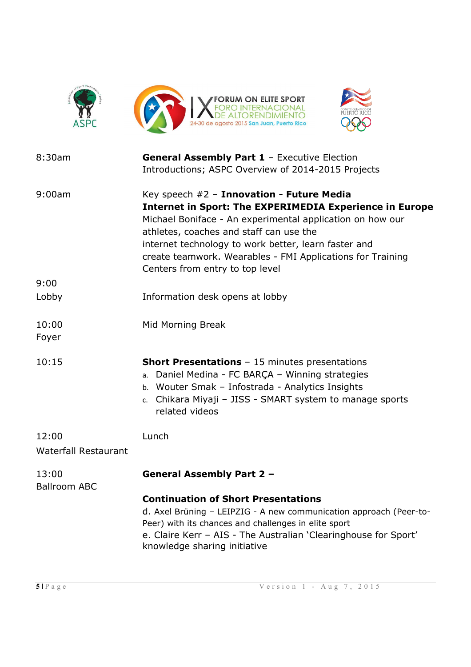

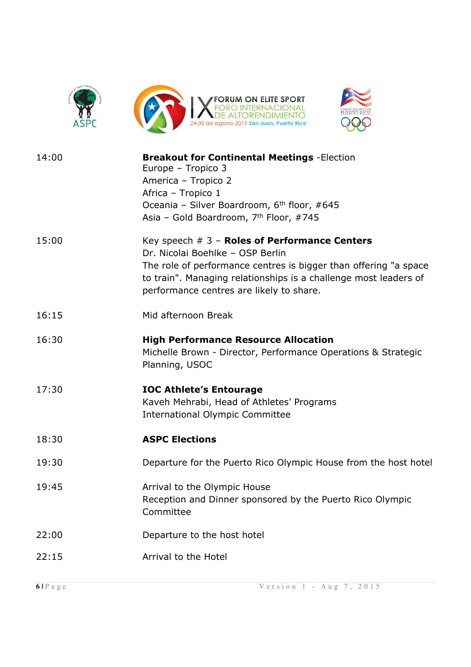





| 14:00 | <b>Breakout for Continental Meetings - Election</b><br>Europe - Tropico 3<br>America - Tropico 2<br>Africa - Tropico 1<br>Oceania - Silver Boardroom, 6 <sup>th</sup> floor, #645<br>Asia - Gold Boardroom, 7th Floor, #745                                             |
|-------|-------------------------------------------------------------------------------------------------------------------------------------------------------------------------------------------------------------------------------------------------------------------------|
| 15:00 | Key speech $# 3$ – Roles of Performance Centers<br>Dr. Nicolai Boehlke - OSP Berlin<br>The role of performance centres is bigger than offering "a space<br>to train". Managing relationships is a challenge most leaders of<br>performance centres are likely to share. |
| 16:15 | Mid afternoon Break                                                                                                                                                                                                                                                     |
| 16:30 | <b>High Performance Resource Allocation</b><br>Michelle Brown - Director, Performance Operations & Strategic<br>Planning, USOC                                                                                                                                          |
| 17:30 | <b>IOC Athlete's Entourage</b><br>Kaveh Mehrabi, Head of Athletes' Programs<br><b>International Olympic Committee</b>                                                                                                                                                   |
| 18:30 | <b>ASPC Elections</b>                                                                                                                                                                                                                                                   |
| 19:30 | Departure for the Puerto Rico Olympic House from the host hotel                                                                                                                                                                                                         |
| 19:45 | Arrival to the Olympic House<br>Reception and Dinner sponsored by the Puerto Rico Olympic<br>Committee                                                                                                                                                                  |
| 22:00 | Departure to the host hotel                                                                                                                                                                                                                                             |
| 22:15 | Arrival to the Hotel                                                                                                                                                                                                                                                    |
|       |                                                                                                                                                                                                                                                                         |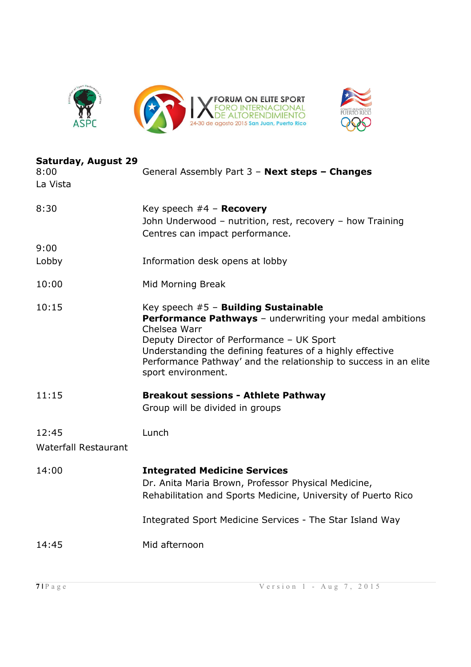



| <b>Saturday, August 29</b><br>8:00<br>La Vista | General Assembly Part 3 - Next steps - Changes                                                                                                                                                                                                                                                                              |
|------------------------------------------------|-----------------------------------------------------------------------------------------------------------------------------------------------------------------------------------------------------------------------------------------------------------------------------------------------------------------------------|
| 8:30                                           | Key speech $#4$ – Recovery<br>John Underwood - nutrition, rest, recovery - how Training<br>Centres can impact performance.                                                                                                                                                                                                  |
| 9:00                                           |                                                                                                                                                                                                                                                                                                                             |
| Lobby                                          | Information desk opens at lobby                                                                                                                                                                                                                                                                                             |
| 10:00                                          | Mid Morning Break                                                                                                                                                                                                                                                                                                           |
| 10:15                                          | Key speech #5 - Building Sustainable<br><b>Performance Pathways</b> - underwriting your medal ambitions<br>Chelsea Warr<br>Deputy Director of Performance - UK Sport<br>Understanding the defining features of a highly effective<br>Performance Pathway' and the relationship to success in an elite<br>sport environment. |
| 11:15                                          | <b>Breakout sessions - Athlete Pathway</b><br>Group will be divided in groups                                                                                                                                                                                                                                               |
| 12:45                                          | Lunch                                                                                                                                                                                                                                                                                                                       |
| <b>Waterfall Restaurant</b>                    |                                                                                                                                                                                                                                                                                                                             |
| 14:00                                          | <b>Integrated Medicine Services</b><br>Dr. Anita Maria Brown, Professor Physical Medicine,<br>Rehabilitation and Sports Medicine, University of Puerto Rico<br>Integrated Sport Medicine Services - The Star Island Way                                                                                                     |
|                                                |                                                                                                                                                                                                                                                                                                                             |
| 14:45                                          | Mid afternoon                                                                                                                                                                                                                                                                                                               |